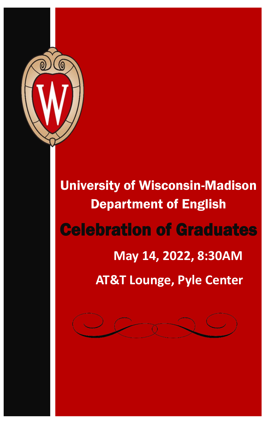

University of Wisconsin-Madison Department of English Celebration of Graduates  **May 14, 2022, 8:30AM AT&T Lounge, Pyle Center**

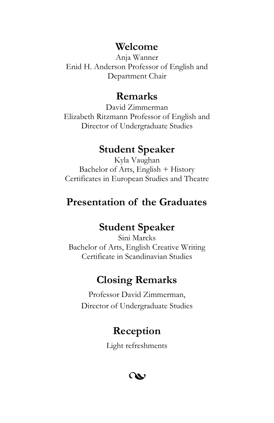#### **Welcome**

Anja Wanner Enid H. Anderson Professor of English and Department Chair

#### **Remarks**

David Zimmerman Elizabeth Ritzmann Professor of English and Director of Undergraduate Studies

## **Student Speaker**

Kyla Vaughan Bachelor of Arts, English + History Certificates in European Studies and Theatre

## **Presentation of the Graduates**

## **Student Speaker**

Sini Marcks Bachelor of Arts, English Creative Writing Certificate in Scandinavian Studies

# **Closing Remarks**

Professor David Zimmerman, Director of Undergraduate Studies

## **Reception**

Light refreshments

w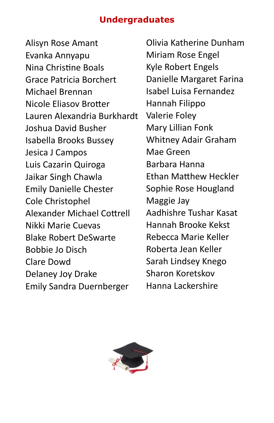#### **Undergraduates**

Alisyn Rose Amant Evanka Annyapu Nina Christine Boals Grace Patricia Borchert Michael Brennan Nicole Eliasov Brotter Lauren Alexandria Burkhardt Joshua David Busher Isabella Brooks Bussey Jesica J Campos Luis Cazarin Quiroga Jaikar Singh Chawla Emily Danielle Chester Cole Christophel Alexander Michael Cottrell Nikki Marie Cuevas Blake Robert DeSwarte Bobbie Jo Disch Clare Dowd Delaney Joy Drake Emily Sandra Duernberger

Olivia Katherine Dunham Miriam Rose Engel Kyle Robert Engels Danielle Margaret Farina Isabel Luisa Fernandez Hannah Filippo Valerie Foley Mary Lillian Fonk Whitney Adair Graham Mae Green Barbara Hanna Ethan Matthew Heckler Sophie Rose Hougland Maggie Jay Aadhishre Tushar Kasat Hannah Brooke Kekst Rebecca Marie Keller Roberta Jean Keller Sarah Lindsey Knego Sharon Koretskov Hanna Lackershire

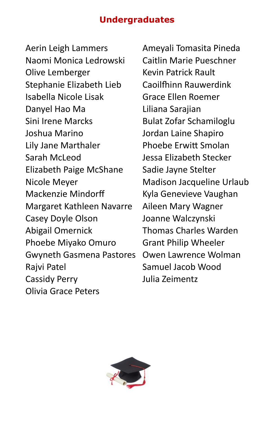#### **Undergraduates**

Aerin Leigh Lammers Naomi Monica Ledrowski Olive Lemberger Stephanie Elizabeth Lieb Isabella Nicole Lisak Danyel Hao Ma Sini Irene Marcks Joshua Marino Lily Jane Marthaler Sarah McLeod Elizabeth Paige McShane Nicole Meyer Mackenzie Mindorff Margaret Kathleen Navarre Casey Doyle Olson Abigail Omernick Phoebe Miyako Omuro Gwyneth Gasmena Pastores Rajvi Patel Cassidy Perry Olivia Grace Peters

Ameyali Tomasita Pineda Caitlin Marie Pueschner Kevin Patrick Rault Caoilfhinn Rauwerdink Grace Ellen Roemer Liliana Sarajian Bulat Zofar Schamiloglu Jordan Laine Shapiro Phoebe Erwitt Smolan Jessa Elizabeth Stecker Sadie Jayne Stelter Madison Jacqueline Urlaub Kyla Genevieve Vaughan Aileen Mary Wagner Joanne Walczynski Thomas Charles Warden Grant Philip Wheeler Owen Lawrence Wolman Samuel Jacob Wood Julia Zeimentz